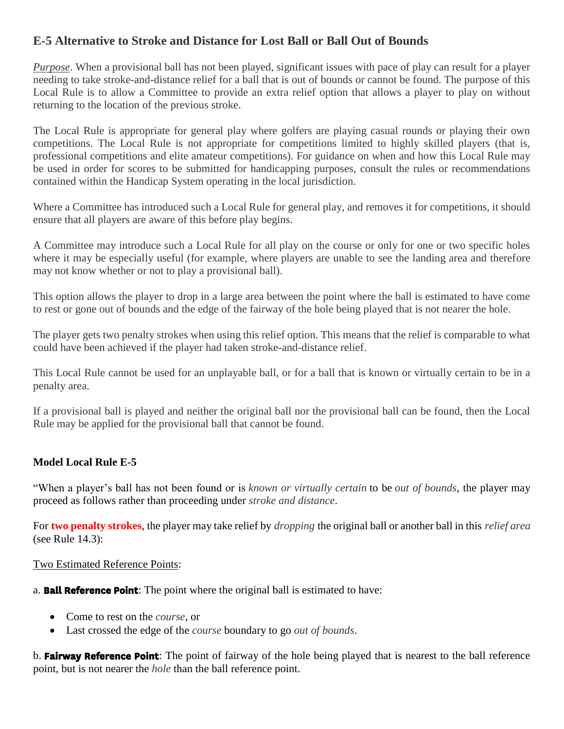## **E-5 Alternative to Stroke and Distance for Lost Ball or Ball Out of Bounds**

*Purpose*. When a provisional ball has not been played, significant issues with pace of play can result for a player needing to take stroke-and-distance relief for a ball that is out of bounds or cannot be found. The purpose of this Local Rule is to allow a Committee to provide an extra relief option that allows a player to play on without returning to the location of the previous stroke.

The Local Rule is appropriate for general play where golfers are playing casual rounds or playing their own competitions. The Local Rule is not appropriate for competitions limited to highly skilled players (that is, professional competitions and elite amateur competitions). For guidance on when and how this Local Rule may be used in order for scores to be submitted for handicapping purposes, consult the rules or recommendations contained within the Handicap System operating in the local jurisdiction.

Where a Committee has introduced such a Local Rule for general play, and removes it for competitions, it should ensure that all players are aware of this before play begins.

A Committee may introduce such a Local Rule for all play on the course or only for one or two specific holes where it may be especially useful (for example, where players are unable to see the landing area and therefore may not know whether or not to play a provisional ball).

This option allows the player to drop in a large area between the point where the ball is estimated to have come to rest or gone out of bounds and the edge of the fairway of the hole being played that is not nearer the hole.

The player gets two penalty strokes when using this relief option. This means that the relief is comparable to what could have been achieved if the player had taken stroke-and-distance relief.

This Local Rule cannot be used for an unplayable ball, or for a ball that is known or virtually certain to be in a penalty area.

If a provisional ball is played and neither the original ball nor the provisional ball can be found, then the Local Rule may be applied for the provisional ball that cannot be found.

### **Model Local Rule E-5**

"When a player's ball has not been found or is *[known or virtually certain](http://www.usga.org/content/usga/home-page/rules/rules-2019/committee-procedures/definitions.html#known%20or%20virtually%20certain)* to be *[out of bounds](http://www.usga.org/content/usga/home-page/rules/rules-2019/committee-procedures/definitions.html#out%20of%20bounds)*, the player may proceed as follows rather than proceeding under *[stroke and distance](http://www.usga.org/content/usga/home-page/rules/rules-2019/committee-procedures/definitions.html#stroke%20and%20distance)*.

For **two penalty strokes**, the player may take relief by *[dropping](http://www.usga.org/content/usga/home-page/rules/rules-2019/committee-procedures/definitions.html#dropping)* the original ball or another ball in this *[relief area](http://www.usga.org/content/usga/home-page/rules/rules-2019/committee-procedures/definitions.html#relief%20area)* (see [Rule 14.3\)](http://www.usga.org/content/usga/home-page/rules/rules-2019/rules-of-golf/rule-14.html#Rule%2014.3):

### Two Estimated Reference Points:

a. **Ball Reference Point**: The point where the original ball is estimated to have:

- Come to rest on the *[course](http://www.usga.org/content/usga/home-page/rules/rules-2019/committee-procedures/definitions.html#course)*, or
- Last crossed the edge of the *[course](http://www.usga.org/content/usga/home-page/rules/rules-2019/committee-procedures/definitions.html#course)* boundary to go *[out of bounds](http://www.usga.org/content/usga/home-page/rules/rules-2019/committee-procedures/definitions.html#out%20of%20bounds)*.

b. **Fairway Reference Point**: The point of fairway of the hole being played that is nearest to the ball reference point, but is not nearer the *[hole](http://www.usga.org/content/usga/home-page/rules/rules-2019/committee-procedures/definitions.html#hole)* than the ball reference point.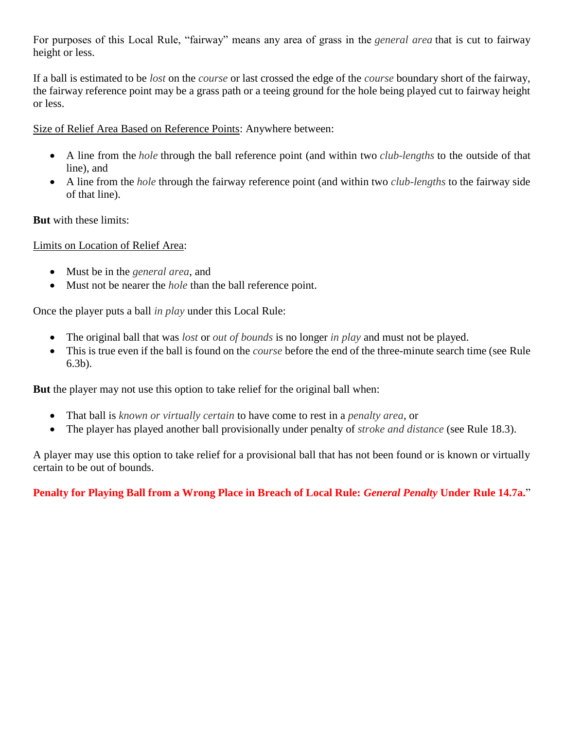For purposes of this Local Rule, "fairway" means any area of grass in the *[general area](http://www.usga.org/content/usga/home-page/rules/rules-2019/committee-procedures/definitions.html#general%20area)* that is cut to fairway height or less.

If a ball is estimated to be *[lost](http://www.usga.org/content/usga/home-page/rules/rules-2019/committee-procedures/definitions.html#lost)* on the *[course](http://www.usga.org/content/usga/home-page/rules/rules-2019/committee-procedures/definitions.html#course)* or last crossed the edge of the *[course](http://www.usga.org/content/usga/home-page/rules/rules-2019/committee-procedures/definitions.html#course)* boundary short of the fairway, the fairway reference point may be a grass path or a teeing ground for the hole being played cut to fairway height or less.

Size of Relief Area Based on Reference Points: Anywhere between:

- A line from the *[hole](http://www.usga.org/content/usga/home-page/rules/rules-2019/committee-procedures/definitions.html#hole)* through the ball reference point (and within two *[club-lengths](http://www.usga.org/content/usga/home-page/rules/rules-2019/committee-procedures/definitions.html#club-lengths)* to the outside of that line), and
- A line from the *[hole](http://www.usga.org/content/usga/home-page/rules/rules-2019/committee-procedures/definitions.html#hole)* through the fairway reference point (and within two *[club-lengths](http://www.usga.org/content/usga/home-page/rules/rules-2019/committee-procedures/definitions.html#club-lengths)* to the fairway side of that line).

**But** with these limits:

Limits on Location of Relief Area:

- Must be in the *[general area](http://www.usga.org/content/usga/home-page/rules/rules-2019/committee-procedures/definitions.html#general%20area)*, and
- Must not be nearer the *[hole](http://www.usga.org/content/usga/home-page/rules/rules-2019/committee-procedures/definitions.html#hole)* than the ball reference point.

Once the player puts a ball *[in play](http://www.usga.org/content/usga/home-page/rules/rules-2019/committee-procedures/definitions.html#in%20play)* under this Local Rule:

- The original ball that was *[lost](http://www.usga.org/content/usga/home-page/rules/rules-2019/committee-procedures/definitions.html#lost)* or *[out of bounds](http://www.usga.org/content/usga/home-page/rules/rules-2019/committee-procedures/definitions.html#out%20of%20bounds)* is no longer *[in play](http://www.usga.org/content/usga/home-page/rules/rules-2019/committee-procedures/definitions.html#in%20play)* and must not be played.
- This is true even if the ball is found on the *[course](http://www.usga.org/content/usga/home-page/rules/rules-2019/committee-procedures/definitions.html#course)* before the end of the three-minute search time (see [Rule](http://www.usga.org/content/usga/home-page/rules/rules-2019/rules-of-golf/rule-6.html#Rule%206.3b)  [6.3b\)](http://www.usga.org/content/usga/home-page/rules/rules-2019/rules-of-golf/rule-6.html#Rule%206.3b).

**But** the player may not use this option to take relief for the original ball when:

- That ball is *[known or virtually certain](http://www.usga.org/content/usga/home-page/rules/rules-2019/committee-procedures/definitions.html#known%20or%20virtually%20certain)* to have come to rest in a *[penalty area](http://www.usga.org/content/usga/home-page/rules/rules-2019/committee-procedures/definitions.html#penalty%20area)*, or
- The player has played another ball provisionally under penalty of *[stroke and distance](http://www.usga.org/content/usga/home-page/rules/rules-2019/committee-procedures/definitions.html#stroke%20and%20distance)* (see [Rule 18.3\)](http://www.usga.org/content/usga/home-page/rules/rules-2019/rules-of-golf/rule-18.html#Rule%2018.3).

A player may use this option to take relief for a provisional ball that has not been found or is known or virtually certain to be out of bounds.

**Penalty for Playing Ball from a Wrong Place in Breach of Local Rule:** *[General Penalty](http://www.usga.org/content/usga/home-page/rules/rules-2019/committee-procedures/definitions.html#general%20penalty)* **Under [Rule 14.7a.](http://www.usga.org/content/usga/home-page/rules/rules-2019/rules-of-golf/rule-14.html#Rule%2014.7a)**"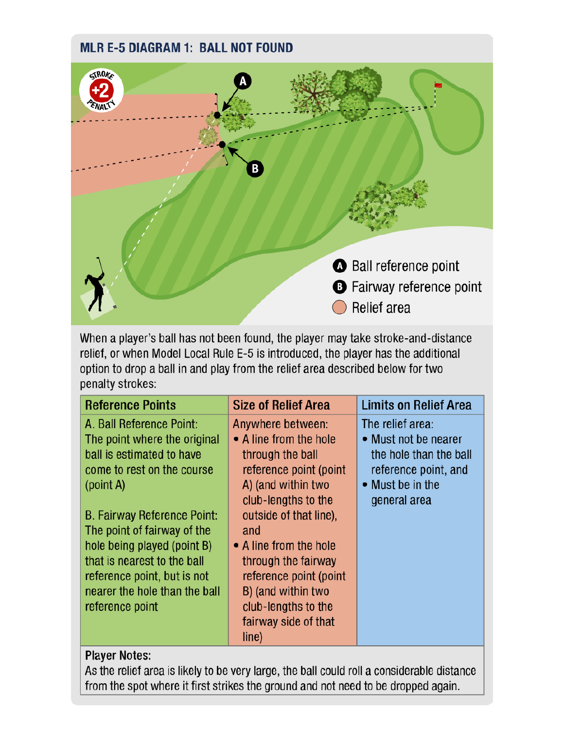# **MLR E-5 DIAGRAM 1: BALL NOT FOUND**



When a player's ball has not been found, the player may take stroke-and-distance relief, or when Model Local Rule E-5 is introduced, the player has the additional option to drop a ball in and play from the relief area described below for two penalty strokes:

| <b>Reference Points</b>                                                                                                                                                                                                                                                                                                                                | <b>Size of Relief Area</b>                                                                                                                                                                                                                                                                                                       | <b>Limits on Relief Area</b>                                                                                                   |  |
|--------------------------------------------------------------------------------------------------------------------------------------------------------------------------------------------------------------------------------------------------------------------------------------------------------------------------------------------------------|----------------------------------------------------------------------------------------------------------------------------------------------------------------------------------------------------------------------------------------------------------------------------------------------------------------------------------|--------------------------------------------------------------------------------------------------------------------------------|--|
| A. Ball Reference Point:<br>The point where the original<br>ball is estimated to have<br>come to rest on the course<br>(point A)<br><b>B. Fairway Reference Point:</b><br>The point of fairway of the<br>hole being played (point B)<br>that is nearest to the ball<br>reference point, but is not<br>nearer the hole than the ball<br>reference point | Anywhere between:<br>• A line from the hole<br>through the ball<br>reference point (point<br>A) (and within two<br>club-lengths to the<br>outside of that line),<br>and<br>• A line from the hole<br>through the fairway<br>reference point (point<br>B) (and within two<br>club-lengths to the<br>fairway side of that<br>line) | The relief area:<br>• Must not be nearer<br>the hole than the ball<br>reference point, and<br>• Must be in the<br>general area |  |
| Dlaver Notes                                                                                                                                                                                                                                                                                                                                           |                                                                                                                                                                                                                                                                                                                                  |                                                                                                                                |  |

## **Player Notes:**

As the relief area is likely to be very large, the ball could roll a considerable distance from the spot where it first strikes the ground and not need to be dropped again.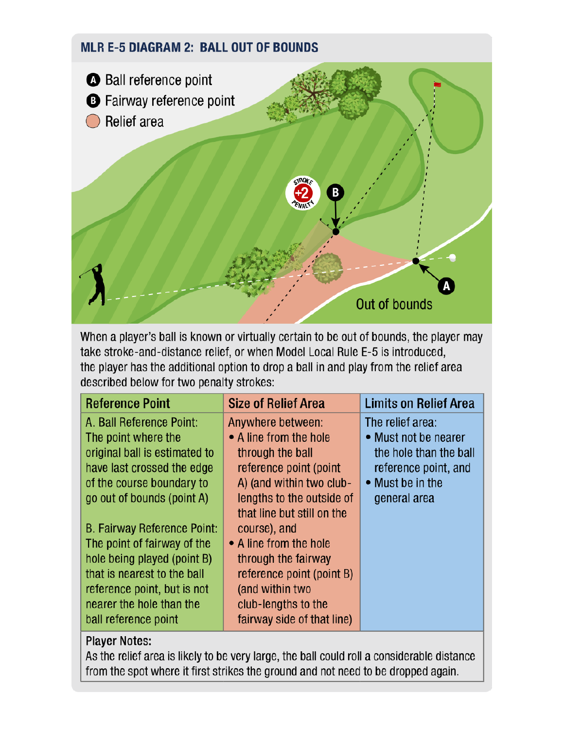# **MLR E-5 DIAGRAM 2: BALL OUT OF BOUNDS**



When a player's ball is known or virtually certain to be out of bounds, the player may take stroke-and-distance relief, or when Model Local Rule E-5 is introduced, the player has the additional option to drop a ball in and play from the relief area described below for two penalty strokes:

| <b>Reference Point</b>             | <b>Size of Relief Area</b> | <b>Limits on Relief Area</b> |
|------------------------------------|----------------------------|------------------------------|
| A. Ball Reference Point:           | Anywhere between:          | The relief area:             |
| The point where the                | • A line from the hole     | • Must not be nearer         |
| original ball is estimated to      | through the ball           | the hole than the ball       |
| have last crossed the edge         | reference point (point     | reference point, and         |
| of the course boundary to          | A) (and within two club-   | • Must be in the             |
| go out of bounds (point A)         | lengths to the outside of  | general area                 |
|                                    | that line but still on the |                              |
| <b>B. Fairway Reference Point:</b> | course), and               |                              |
| The point of fairway of the        | • A line from the hole     |                              |
| hole being played (point B)        | through the fairway        |                              |
| that is nearest to the ball        | reference point (point B)  |                              |
| reference point, but is not        | (and within two            |                              |
| nearer the hole than the           | club-lengths to the        |                              |
| ball reference point               | fairway side of that line) |                              |

## **Player Notes:**

As the relief area is likely to be very large, the ball could roll a considerable distance from the spot where it first strikes the ground and not need to be dropped again.